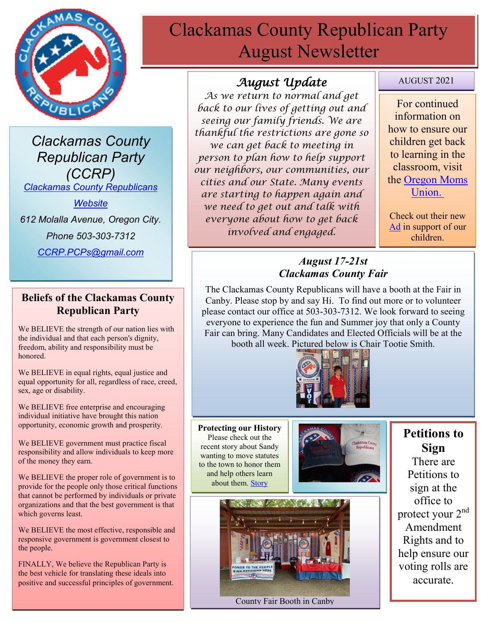

*Clackamas County Republican Party (CCRP) [Clackamas County Republicans](https://www.clackamascountyrepublicans.org/)* 

*[Website](https://www.clackamascountyrepublicans.org/)*

*612 Molalla Avenue, Oregon City.* 

*Phone 503-303-7312*

*[CCRP.PCPs@gmail.com](mailto:CCRP.PCPs@gmail.com)*

#### **Beliefs of the Clackamas County Republican Party**

We BELIEVE the strength of our nation lies with the individual and that each person's dignity, freedom, ability and responsibility must be honored.

We BELIEVE in equal rights, equal justice and equal opportunity for all, regardless of race, creed, sex, age or disability.

We BELIEVE free enterprise and encouraging individual initiative have brought this nation opportunity, economic growth and prosperity.

We BELIEVE government must practice fiscal responsibility and allow individuals to keep more of the money they earn.

We BELIEVE the proper role of government is to provide for the people only those critical functions that cannot be performed by individuals or private organizations and that the best government is that which governs least.

We BELIEVE the most effective, responsible and responsive government is government closest to the people.

FINALLY, We believe the Republican Party is the best vehicle for translating these ideals into positive and successful principles of government.

# Clackamas County Republican Party August Newsletter

# *August Update*

*As we return to normal and get back to our lives of getting out and seeing our family friends. We are thankful the restrictions are gone so we can get back to meeting in person to plan how to help support our neighbors, our communities, our cities and our State. Many events are starting to happen again and we need to get out and talk with everyone about how to get back involved and engaged.* 

#### AUGUST 2021

For continued information on how to ensure our children get back to learning in the classroom, visit the [Oregon Moms](https://www.oregonmomsunion.com/)  [Union.](https://www.oregonmomsunion.com/)

Check out their new [Ad](https://www.facebook.com/oregonmomsunion/videos/530880411358307) in support of our children.

## *August 17-21st Clackamas County Fair*

The Clackamas County Republicans will have a booth at the Fair in Canby. Please stop by and say Hi. To find out more or to volunteer please contact our office at 503-303-7312. We look forward to seeing everyone to experience the fun and Summer joy that only a County Fair can bring. Many Candidates and Elected Officials will be at the booth all week. Pictured below is Chair Tootie Smith.



**Protecting our History** Please check out the recent story about Sandy wanting to move statutes to the town to honor them and help others learn about them. [Story](https://www.koin.com/news/oregon/monumental-shift-portland-statues-may-get-new-life-in-sandy/)





#### County Fair Booth in Canby

**Petitions to Sign**

There are Petitions to sign at the office to protect your 2nd Amendment Rights and to help ensure our voting rolls are accurate.